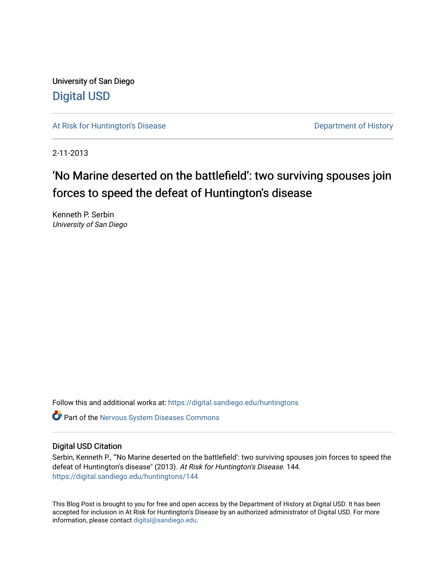University of San Diego [Digital USD](https://digital.sandiego.edu/)

[At Risk for Huntington's Disease](https://digital.sandiego.edu/huntingtons) **Department of History** Department of History

2-11-2013

# 'No Marine deserted on the battlefield': two surviving spouses join forces to speed the defeat of Huntington's disease

Kenneth P. Serbin University of San Diego

Follow this and additional works at: [https://digital.sandiego.edu/huntingtons](https://digital.sandiego.edu/huntingtons?utm_source=digital.sandiego.edu%2Fhuntingtons%2F144&utm_medium=PDF&utm_campaign=PDFCoverPages)

**C** Part of the [Nervous System Diseases Commons](http://network.bepress.com/hgg/discipline/928?utm_source=digital.sandiego.edu%2Fhuntingtons%2F144&utm_medium=PDF&utm_campaign=PDFCoverPages)

### Digital USD Citation

Serbin, Kenneth P., "'No Marine deserted on the battlefield': two surviving spouses join forces to speed the defeat of Huntington's disease" (2013). At Risk for Huntington's Disease. 144. [https://digital.sandiego.edu/huntingtons/144](https://digital.sandiego.edu/huntingtons/144?utm_source=digital.sandiego.edu%2Fhuntingtons%2F144&utm_medium=PDF&utm_campaign=PDFCoverPages)

This Blog Post is brought to you for free and open access by the Department of History at Digital USD. It has been accepted for inclusion in At Risk for Huntington's Disease by an authorized administrator of Digital USD. For more information, please contact [digital@sandiego.edu.](mailto:digital@sandiego.edu)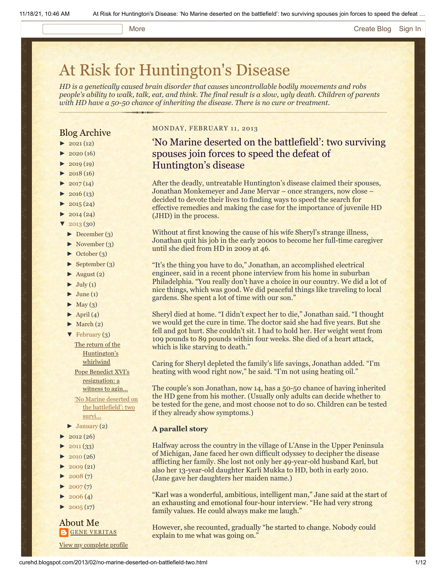#### More **[Create Blog](https://www.blogger.com/home#create) [Sign In](https://www.blogger.com/)**

# [At Risk for Huntington's Disease](http://curehd.blogspot.com/)

*HD is a genetically caused brain disorder that causes uncontrollable bodily movements and robs people's ability to walk, talk, eat, and think. The final result is a slow, ugly death. Children of parents with HD have a 50-50 chance of inheriting the disease. There is no cure or treatment.*

### Blog Archive

- $\blacktriangleright$  [2021](http://curehd.blogspot.com/2021/) (12)
- $2020(16)$  $2020(16)$
- $2019(19)$  $2019(19)$
- $\blacktriangleright$  [2018](http://curehd.blogspot.com/2018/) (16)
- $2017(14)$  $2017(14)$
- $2016(13)$  $2016(13)$  $\blacktriangleright$  [2015](http://curehd.blogspot.com/2015/) (24)
- 
- $\blacktriangleright$  [2014](http://curehd.blogspot.com/2014/) (24)
- $'$  [2013](http://curehd.blogspot.com/2013/) (30)
- [►](javascript:void(0)) [December](http://curehd.blogspot.com/2013/12/) (3)
- [►](javascript:void(0)) [November](http://curehd.blogspot.com/2013/11/) (3)
- [►](javascript:void(0)) [October](http://curehd.blogspot.com/2013/10/) (3)
- [►](javascript:void(0)) [September](http://curehd.blogspot.com/2013/09/) (3)
- $\blacktriangleright$  [August](http://curehd.blogspot.com/2013/08/) (2)
- $\blacktriangleright$  [July](http://curehd.blogspot.com/2013/07/) (1)
- $\blacktriangleright$  [June](http://curehd.blogspot.com/2013/06/) (1)
- $\blacktriangleright$  [May](http://curehd.blogspot.com/2013/05/) (3)
- $\blacktriangleright$  [April](http://curehd.blogspot.com/2013/04/) (4)
- $\blacktriangleright$  [March](http://curehd.blogspot.com/2013/03/) (2)
- $\blacktriangledown$  [February](http://curehd.blogspot.com/2013/02/)  $(3)$ 
	- The return of the [Huntington's](http://curehd.blogspot.com/2013/02/the-return-of-huntingtons-whirlwind.html) whirlwind Pope Benedict XVI's [resignation:](http://curehd.blogspot.com/2013/02/pope-benedict-xvis-resignation-witness.html) a witness to agin...

'No Marine deserted on the [battlefield':](http://curehd.blogspot.com/2013/02/no-marine-deserted-on-battlefield-two.html) two survi...

- $\blacktriangleright$  [January](http://curehd.blogspot.com/2013/01/) (2)
- $\blacktriangleright$  [2012](http://curehd.blogspot.com/2012/) (26)
- $2011(33)$  $2011(33)$
- $2010(26)$  $2010(26)$
- $\blacktriangleright$  [2009](http://curehd.blogspot.com/2009/) (21)
- $2008(7)$  $2008(7)$
- $\blacktriangleright$  [2007](http://curehd.blogspot.com/2007/) $(7)$
- $\blacktriangleright$  [2006](http://curehd.blogspot.com/2006/) (4)
- $\blacktriangleright$  [2005](http://curehd.blogspot.com/2005/) (17)

#### About Me **GENE [VERITAS](https://www.blogger.com/profile/10911736205741688185)**

View my [complete](https://www.blogger.com/profile/10911736205741688185) profile

#### MONDAY, FEBRUARY 11, 2013

# 'No Marine deserted on the battlefield': two surviving spouses join forces to speed the defeat of Huntington's disease

After the deadly, untreatable Huntington's disease claimed their spouses, Jonathan Monkemeyer and Jane Mervar – once strangers, now close – decided to devote their lives to finding ways to speed the search for effective remedies and making the case for the importance of juvenile HD (JHD) in the process.

Without at first knowing the cause of his wife Sheryl's strange illness, Jonathan quit his job in the early 2000s to become her full-time caregiver until she died from HD in 2009 at 46.

"It's the thing you have to do," Jonathan, an accomplished electrical engineer, said in a recent phone interview from his home in suburban Philadelphia. "You really don't have a choice in our country. We did a lot of nice things, which was good. We did peaceful things like traveling to local gardens. She spent a lot of time with our son."

Sheryl died at home. "I didn't expect her to die," Jonathan said. "I thought we would get the cure in time. The doctor said she had five years. But she fell and got hurt. She couldn't sit. I had to hold her. Her weight went from 109 pounds to 89 pounds within four weeks. She died of a heart attack, which is like starving to death."

Caring for Sheryl depleted the family's life savings, Jonathan added. "I'm heating with wood right now," he said. "I'm not using heating oil."

The couple's son Jonathan, now 14, has a 50-50 chance of having inherited the HD gene from his mother. (Usually only adults can decide whether to be tested for the gene, and most choose not to do so. Children can be tested if they already show symptoms.)

#### **A parallel story**

Halfway across the country in the village of L'Anse in the Upper Peninsula of Michigan, Jane faced her own difficult odyssey to decipher the disease afflicting her family. She lost not only her 49-year-old husband Karl, but also her 13-year-old daughter Karli Mukka to HD, both in early 2010. (Jane gave her daughters her maiden name.)

"Karl was a wonderful, ambitious, intelligent man," Jane said at the start of an exhausting and emotional four-hour interview. "He had very strong family values. He could always make me laugh."

However, she recounted, gradually "he started to change. Nobody could explain to me what was going on."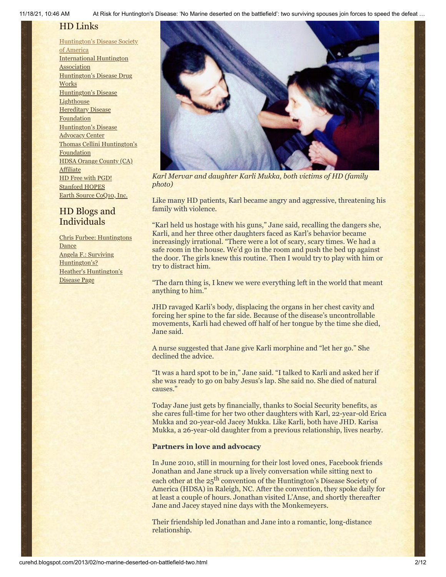## HD Links

[Huntington's](http://www.hdsa.org/) Disease Society of America [International](http://www.huntington-assoc.com/) Huntington **Association** [Huntington's](http://hddrugworks.org/) Disease Drug **Works** [Huntington's](http://www.hdlighthouse.org/) Disease **Lighthouse Hereditary Disease** [Foundation](http://www.hdfoundation.org/) [Huntington's](http://www.hdac.org/) Disease Advocacy Center Thomas [Cellini Huntington's](http://www.ourtchfoundation.org/) **Foundation** HDSA Orange County (CA) **[Affiliate](http://www.hdsaoc.org/)** HD Free with [PGD!](http://www.hdfreewithpgd.com/) [Stanford](http://www.stanford.edu/group/hopes/) HOPES Earth Source [CoQ10,](http://www.escoq10.com/) Inc.

# HD Blogs and Individuals

Chris Furbee: [Huntingtons](http://www.huntingtonsdance.org/) **Dance** Angela F.: Surviving [Huntington's?](http://survivinghuntingtons.blogspot.com/) Heather's [Huntington's](http://heatherdugdale.angelfire.com/) Disease Page



*Karl Mervar and daughter Karli Mukka, both victims of HD (family photo)*

Like many HD patients, Karl became angry and aggressive, threatening his family with violence.

"Karl held us hostage with his guns," Jane said, recalling the dangers she, Karli, and her three other daughters faced as Karl's behavior became increasingly irrational. "There were a lot of scary, scary times. We had a safe room in the house. We'd go in the room and push the bed up against the door. The girls knew this routine. Then I would try to play with him or try to distract him.

"The darn thing is, I knew we were everything left in the world that meant anything to him."

JHD ravaged Karli's body, displacing the organs in her chest cavity and forcing her spine to the far side. Because of the disease's uncontrollable movements, Karli had chewed off half of her tongue by the time she died, Jane said.

A nurse suggested that Jane give Karli morphine and "let her go." She declined the advice.

"It was a hard spot to be in," Jane said. "I talked to Karli and asked her if she was ready to go on baby Jesus's lap. She said no. She died of natural causes."

Today Jane just gets by financially, thanks to Social Security benefits, as she cares full-time for her two other daughters with Karl, 22-year-old Erica Mukka and 20-year-old Jacey Mukka. Like Karli, both have JHD. Karisa Mukka, a 26-year-old daughter from a previous relationship, lives nearby.

#### **Partners in love and advocacy**

In June 2010, still in mourning for their lost loved ones, Facebook friends Jonathan and Jane struck up a lively conversation while sitting next to each other at the 25<sup>th</sup> convention of the Huntington's Disease Society of America (HDSA) in Raleigh, NC. After the convention, they spoke daily for at least a couple of hours. Jonathan visited L'Anse, and shortly thereafter Jane and Jacey stayed nine days with the Monkemeyers.

Their friendship led Jonathan and Jane into a romantic, long-distance relationship.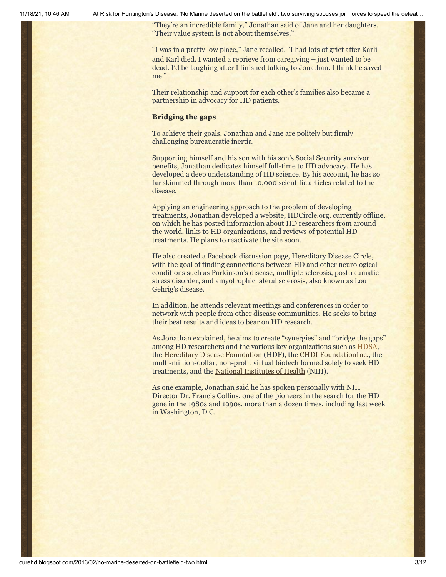"They're an incredible family," Jonathan said of Jane and her daughters. "Their value system is not about themselves."

"I was in a pretty low place," Jane recalled. "I had lots of grief after Karli and Karl died. I wanted a reprieve from caregiving – just wanted to be dead. I'd be laughing after I finished talking to Jonathan. I think he saved me."

Their relationship and support for each other's families also became a partnership in advocacy for HD patients.

#### **Bridging the gaps**

To achieve their goals, Jonathan and Jane are politely but firmly challenging bureaucratic inertia.

Supporting himself and his son with his son's Social Security survivor benefits, Jonathan dedicates himself full-time to HD advocacy. He has developed a deep understanding of HD science. By his account, he has so far skimmed through more than 10,000 scientific articles related to the disease.

Applying an engineering approach to the problem of developing treatments, Jonathan developed a website, HDCircle.org, currently offline, on which he has posted information about HD researchers from around the world, links to HD organizations, and reviews of potential HD treatments. He plans to reactivate the site soon.

He also created a Facebook discussion page, Hereditary Disease Circle, with the goal of finding connections between HD and other neurological conditions such as Parkinson's disease, multiple sclerosis, posttraumatic stress disorder, and amyotrophic lateral sclerosis, also known as Lou Gehrig's disease.

In addition, he attends relevant meetings and conferences in order to network with people from other disease communities. He seeks to bring their best results and ideas to bear on HD research.

As Jonathan explained, he aims to create "synergies" and "bridge the gaps" among HD researchers and the various key organizations such as **[HDSA](http://www.hdsa.org/)**, the [Hereditary Disease Foundation](http://www.hdfoundation.org/home.php) (HDF), the [CHDI FoundationInc.](http://chdifoundation.org/), the multi-million-dollar, non-profit virtual biotech formed solely to seek HD treatments, and the [National Institutes of Health](http://www.nih.gov/) (NIH).

As one example, Jonathan said he has spoken personally with NIH Director Dr. Francis Collins, one of the pioneers in the search for the HD gene in the 1980s and 1990s, more than a dozen times, including last week in Washington, D.C.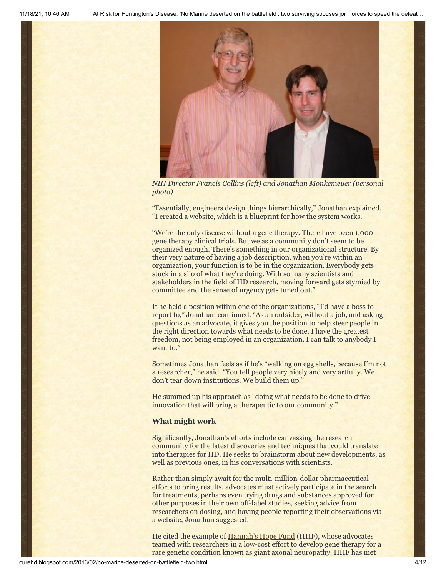

*NIH Director Francis Collins (left) and Jonathan Monkemeyer (personal photo)*

"Essentially, engineers design things hierarchically," Jonathan explained. "I created a website, which is a blueprint for how the system works.

"We're the only disease without a gene therapy. There have been 1,000 gene therapy clinical trials. But we as a community don't seem to be organized enough. There's something in our organizational structure. By their very nature of having a job description, when you're within an organization, your function is to be in the organization. Everybody gets stuck in a silo of what they're doing. With so many scientists and stakeholders in the field of HD research, moving forward gets stymied by committee and the sense of urgency gets tuned out."

If he held a position within one of the organizations, "I'd have a boss to report to," Jonathan continued. "As an outsider, without a job, and asking questions as an advocate, it gives you the position to help steer people in the right direction towards what needs to be done. I have the greatest freedom, not being employed in an organization. I can talk to anybody I want to."

Sometimes Jonathan feels as if he's "walking on egg shells, because I'm not a researcher," he said. "You tell people very nicely and very artfully. We don't tear down institutions. We build them up."

He summed up his approach as "doing what needs to be done to drive innovation that will bring a therapeutic to our community."

#### **What might work**

Significantly, Jonathan's efforts include canvassing the research community for the latest discoveries and techniques that could translate into therapies for HD. He seeks to brainstorm about new developments, as well as previous ones, in his conversations with scientists.

Rather than simply await for the multi-million-dollar pharmaceutical efforts to bring results, advocates must actively participate in the search for treatments, perhaps even trying drugs and substances approved for other purposes in their own off-label studies, seeking advice from researchers on dosing, and having people reporting their observations via a website, Jonathan suggested.

He cited the example of [Hannah's Hope Fund](http://www.hannahshopefund.org/) (HHF), whose advocates teamed with researchers in a low-cost effort to develop gene therapy for a rare genetic condition known as giant axonal neuropathy. HHF has met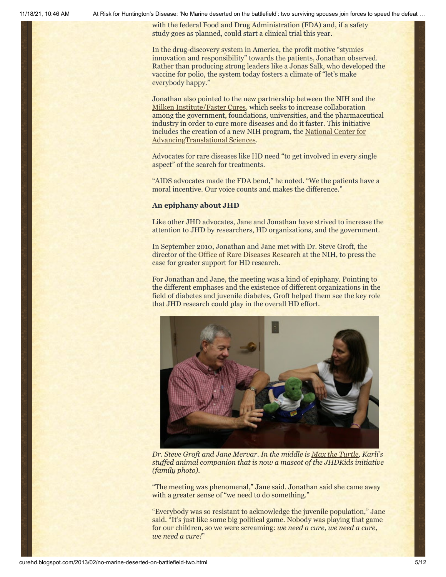with the federal Food and Drug Administration (FDA) and, if a safety study goes as planned, could start a clinical trial this year.

In the drug-discovery system in America, the profit motive "stymies innovation and responsibility" towards the patients, Jonathan observed. Rather than producing strong leaders like a Jonas Salk, who developed the vaccine for polio, the system today fosters a climate of "let's make everybody happy."

Jonathan also pointed to the new partnership between the NIH and the [Milken Institute/Faster Cures](http://www.fastercures.org/), which seeks to increase collaboration among the government, foundations, universities, and the pharmaceutical industry in order to cure more diseases and do it faster. This initiative [includes the creation of a new NIH program, the National Center for](http://www.ncats.nih.gov/) AdvancingTranslational Sciences.

Advocates for rare diseases like HD need "to get involved in every single aspect" of the search for treatments.

"AIDS advocates made the FDA bend," he noted. "We the patients have a moral incentive. Our voice counts and makes the difference."

#### **An epiphany about JHD**

Like other JHD advocates, Jane and Jonathan have strived to increase the attention to JHD by researchers, HD organizations, and the government.

In September 2010, Jonathan and Jane met with Dr. Steve Groft, the director of the [Office of Rare Diseases Research](http://rarediseases.info.nih.gov/) at the NIH, to press the case for greater support for HD research.

For Jonathan and Jane, the meeting was a kind of epiphany. Pointing to the different emphases and the existence of different organizations in the field of diabetes and juvenile diabetes, Groft helped them see the key role that JHD research could play in the overall HD effort.



*Dr. Steve Groft and Jane Mervar. In the middle is [Max the Turtle](http://jhdkids.com/max-the-turtle/), Karli's stuffed animal companion that is now a mascot of the JHDKids initiative (family photo).*

"The meeting was phenomenal," Jane said. Jonathan said she came away with a greater sense of "we need to do something."

"Everybody was so resistant to acknowledge the juvenile population," Jane said. "It's just like some big political game. Nobody was playing that game for our children, so we were screaming: *we need a cure, we need a cure, we need a cure!*"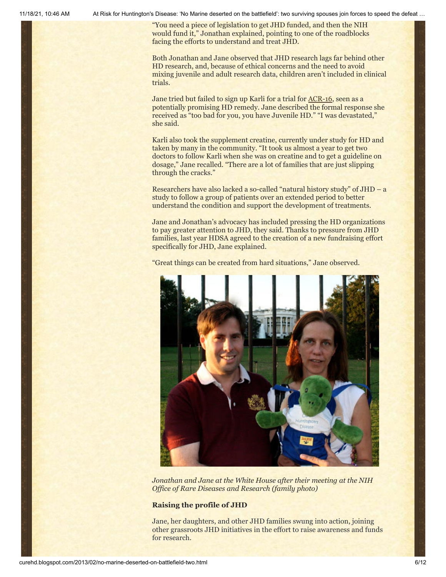"You need a piece of legislation to get JHD funded, and then the NIH would fund it," Jonathan explained, pointing to one of the roadblocks facing the efforts to understand and treat JHD.

Both Jonathan and Jane observed that JHD research lags far behind other HD research, and, because of ethical concerns and the need to avoid mixing juvenile and adult research data, children aren't included in clinical trials.

Jane tried but failed to sign up Karli for a trial for [ACR-16](http://hddrugworks.org/index.php?Itemid=24&id=189&option=com_content&task=view), seen as a potentially promising HD remedy. Jane described the formal response she received as "too bad for you, you have Juvenile HD." "I was devastated," she said.

Karli also took the supplement creatine, currently under study for HD and taken by many in the community. "It took us almost a year to get two doctors to follow Karli when she was on creatine and to get a guideline on dosage," Jane recalled. "There are a lot of families that are just slipping through the cracks."

Researchers have also lacked a so-called "natural history study" of JHD – a study to follow a group of patients over an extended period to better understand the condition and support the development of treatments.

Jane and Jonathan's advocacy has included pressing the HD organizations to pay greater attention to JHD, they said. Thanks to pressure from JHD families, last year HDSA agreed to the creation of a new fundraising effort specifically for JHD, Jane explained.

"Great things can be created from hard situations," Jane observed.



*Jonathan and Jane at the White House after their meeting at the NIH Office of Rare Diseases and Research (family photo)*

#### **Raising the profile of JHD**

Jane, her daughters, and other JHD families swung into action, joining other grassroots JHD initiatives in the effort to raise awareness and funds for research.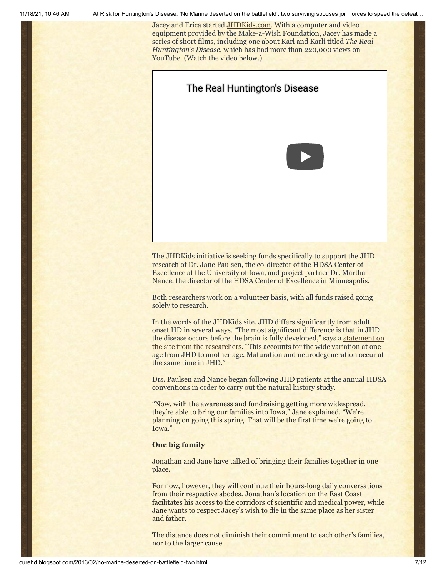Jacey and Erica started [JHDKids.com.](http://jhdkids.com/) With a computer and video equipment provided by the Make-a-Wish Foundation, Jacey has made a series of short films, including one about Karl and Karli titled *The Real Huntington's Disease*, which has had more than 220,000 views on YouTube. (Watch the video below.)



The JHDKids initiative is seeking funds specifically to support the JHD research of Dr. Jane Paulsen, the co-director of the HDSA Center of Excellence at the University of Iowa, and project partner Dr. Martha Nance, the director of the HDSA Center of Excellence in Minneapolis.

Both researchers work on a volunteer basis, with all funds raised going solely to research.

In the words of the JHDKids site, JHD differs significantly from adult onset HD in several ways. "The most significant difference is that in JHD [the disease occurs before the brain is fully developed," says a](http://jhdkids.com/jhd-initiative/) statement on the site from the researchers. "This accounts for the wide variation at one age from JHD to another age. Maturation and neurodegeneration occur at the same time in JHD."

Drs. Paulsen and Nance began following JHD patients at the annual HDSA conventions in order to carry out the natural history study.

"Now, with the awareness and fundraising getting more widespread, they're able to bring our families into Iowa," Jane explained. "We're planning on going this spring. That will be the first time we're going to Iowa."

### **One big family**

Jonathan and Jane have talked of bringing their families together in one place.

For now, however, they will continue their hours-long daily conversations from their respective abodes. Jonathan's location on the East Coast facilitates his access to the corridors of scientific and medical power, while Jane wants to respect Jacey's wish to die in the same place as her sister and father.

The distance does not diminish their commitment to each other's families, nor to the larger cause.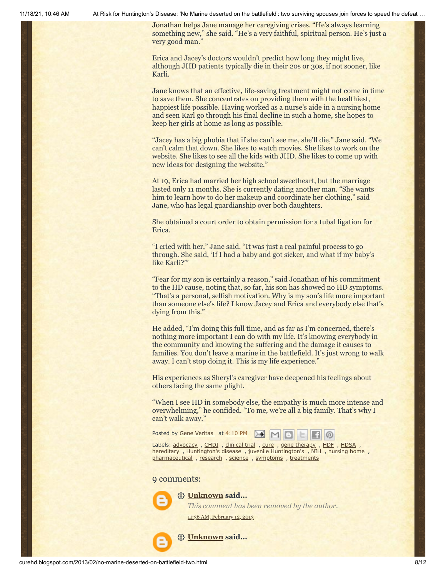Jonathan helps Jane manage her caregiving crises. "He's always learning something new," she said. "He's a very faithful, spiritual person. He's just a very good man.'

Erica and Jacey's doctors wouldn't predict how long they might live, although JHD patients typically die in their 20s or 30s, if not sooner, like Karli.

Jane knows that an effective, life-saving treatment might not come in time to save them. She concentrates on providing them with the healthiest, happiest life possible. Having worked as a nurse's aide in a nursing home and seen Karl go through his final decline in such a home, she hopes to keep her girls at home as long as possible.

"Jacey has a big phobia that if she can't see me, she'll die," Jane said. "We can't calm that down. She likes to watch movies. She likes to work on the website. She likes to see all the kids with JHD. She likes to come up with new ideas for designing the website."

At 19, Erica had married her high school sweetheart, but the marriage lasted only 11 months. She is currently dating another man. "She wants him to learn how to do her makeup and coordinate her clothing," said Jane, who has legal guardianship over both daughters.

She obtained a court order to obtain permission for a tubal ligation for Erica.

"I cried with her," Jane said. "It was just a real painful process to go through. She said, 'If I had a baby and got sicker, and what if my baby's like Karli?'"

"Fear for my son is certainly a reason," said Jonathan of his commitment to the HD cause, noting that, so far, his son has showed no HD symptoms. "That's a personal, selfish motivation. Why is my son's life more important than someone else's life? I know Jacey and Erica and everybody else that's dying from this."

He added, "I'm doing this full time, and as far as I'm concerned, there's nothing more important I can do with my life. It's knowing everybody in the community and knowing the suffering and the damage it causes to families. You don't leave a marine in the battlefield. It's just wrong to walk away. I can't stop doing it. This is my life experience."

His experiences as Sheryl's caregiver have deepened his feelings about others facing the same plight.

"When I see HD in somebody else, the empathy is much more intense and overwhelming," he confided. "To me, we're all a big family. That's why I can't walk away."



Labels: [advocacy](http://curehd.blogspot.com/search/label/advocacy) , [CHDI](http://curehd.blogspot.com/search/label/CHDI) , [clinical](http://curehd.blogspot.com/search/label/clinical%20trial) trial , [cure](http://curehd.blogspot.com/search/label/cure) , gene [therapy](http://curehd.blogspot.com/search/label/gene%20therapy) , [HDF](http://curehd.blogspot.com/search/label/HDF) , [HDSA](http://curehd.blogspot.com/search/label/HDSA) , [hereditary](http://curehd.blogspot.com/search/label/hereditary) , [Huntington's](http://curehd.blogspot.com/search/label/juvenile%20Huntington%27s) disease , juvenile Huntington's , [NIH](http://curehd.blogspot.com/search/label/NIH) , [nursing](http://curehd.blogspot.com/search/label/nursing%20home) home , [pharmaceutical](http://curehd.blogspot.com/search/label/pharmaceutical), [research](http://curehd.blogspot.com/search/label/research), [science](http://curehd.blogspot.com/search/label/science), [symptoms](http://curehd.blogspot.com/search/label/symptoms), [treatments](http://curehd.blogspot.com/search/label/treatments)

#### 9 comments:



*This comment has been removed by the author.*

11:36 AM, [February](http://curehd.blogspot.com/2013/02/no-marine-deserted-on-battlefield-two.html?showComment=1360697775509#c5164308780270287777) 12, 2013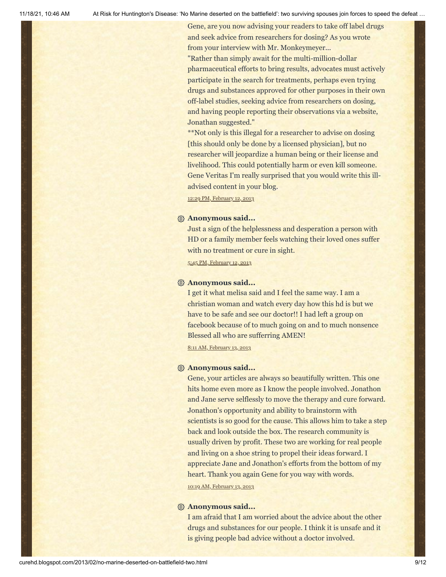Gene, are you now advising your readers to take off label drugs and seek advice from researchers for dosing? As you wrote from your interview with Mr. Monkeymeyer...

"Rather than simply await for the multi-million-dollar pharmaceutical efforts to bring results, advocates must actively participate in the search for treatments, perhaps even trying drugs and substances approved for other purposes in their own off-label studies, seeking advice from researchers on dosing, and having people reporting their observations via a website, Jonathan suggested."

\*\*Not only is this illegal for a researcher to advise on dosing [this should only be done by a licensed physician], but no researcher will jeopardize a human being or their license and livelihood. This could potentially harm or even kill someone. Gene Veritas I'm really surprised that you would write this illadvised content in your blog.

12:29 PM, [February](http://curehd.blogspot.com/2013/02/no-marine-deserted-on-battlefield-two.html?showComment=1360700966393#c8542223508233465398) 12, 2013

#### **Anonymous said...**

Just a sign of the helplessness and desperation a person with HD or a family member feels watching their loved ones suffer with no treatment or cure in sight.

5:45 PM, [February](http://curehd.blogspot.com/2013/02/no-marine-deserted-on-battlefield-two.html?showComment=1360719926298#c7146790400684908022) 12, 2013

#### **Anonymous said...**

I get it what melisa said and I feel the same way. I am a christian woman and watch every day how this hd is but we have to be safe and see our doctor!! I had left a group on facebook because of to much going on and to much nonsence Blessed all who are sufferring AMEN!

8:11 AM, [February](http://curehd.blogspot.com/2013/02/no-marine-deserted-on-battlefield-two.html?showComment=1360771906870#c4196793217516524811) 13, 2013

#### **Anonymous said...**

Gene, your articles are always so beautifully written. This one hits home even more as I know the people involved. Jonathon and Jane serve selflessly to move the therapy and cure forward. Jonathon's opportunity and ability to brainstorm with scientists is so good for the cause. This allows him to take a step back and look outside the box. The research community is usually driven by profit. These two are working for real people and living on a shoe string to propel their ideas forward. I appreciate Jane and Jonathon's efforts from the bottom of my heart. Thank you again Gene for you way with words.

10:19 AM, [February](http://curehd.blogspot.com/2013/02/no-marine-deserted-on-battlefield-two.html?showComment=1360779561600#c5589125389952759952) 13, 2013

#### **Anonymous said...**

I am afraid that I am worried about the advice about the other drugs and substances for our people. I think it is unsafe and it is giving people bad advice without a doctor involved.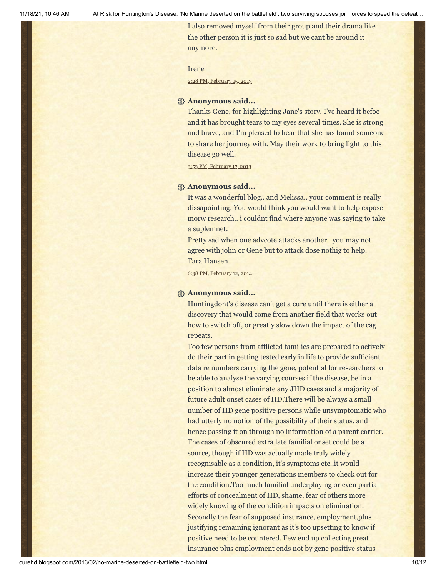I also removed myself from their group and their drama like the other person it is just so sad but we cant be around it anymore.

#### Irene

2:28 PM, [February](http://curehd.blogspot.com/2013/02/no-marine-deserted-on-battlefield-two.html?showComment=1360967286893#c5484765530450470618) 15, 2013

#### **Anonymous said...**

Thanks Gene, for highlighting Jane's story. I've heard it befoe and it has brought tears to my eyes several times. She is strong and brave, and I'm pleased to hear that she has found someone to share her journey with. May their work to bring light to this disease go well.

3:53 PM, [February](http://curehd.blogspot.com/2013/02/no-marine-deserted-on-battlefield-two.html?showComment=1361145238155#c8176654748824126524) 17, 2013

#### **Anonymous said...**

It was a wonderful blog.. and Melissa.. your comment is really dissapointing. You would think you would want to help expose morw research.. i couldnt find where anyone was saying to take a suplemnet.

Pretty sad when one advcote attacks another.. you may not agree with john or Gene but to attack dose nothig to help. Tara Hansen

6:38 PM, [February](http://curehd.blogspot.com/2013/02/no-marine-deserted-on-battlefield-two.html?showComment=1392259110202#c1105943130059491487) 12, 2014

#### **Anonymous said...**

Huntingdont's disease can't get a cure until there is either a discovery that would come from another field that works out how to switch off, or greatly slow down the impact of the cag repeats.

Too few persons from afflicted families are prepared to actively do their part in getting tested early in life to provide sufficient data re numbers carrying the gene, potential for researchers to be able to analyse the varying courses if the disease, be in a position to almost eliminate any JHD cases and a majority of future adult onset cases of HD.There will be always a small number of HD gene positive persons while unsymptomatic who had utterly no notion of the possibility of their status. and hence passing it on through no information of a parent carrier. The cases of obscured extra late familial onset could be a source, though if HD was actually made truly widely recognisable as a condition, it's symptoms etc.,it would increase their younger generations members to check out for the condition.Too much familial underplaying or even partial efforts of concealment of HD, shame, fear of others more widely knowing of the condition impacts on elimination. Secondly the fear of supposed insurance, employment,plus justifying remaining ignorant as it's too upsetting to know if positive need to be countered. Few end up collecting great insurance plus employment ends not by gene positive status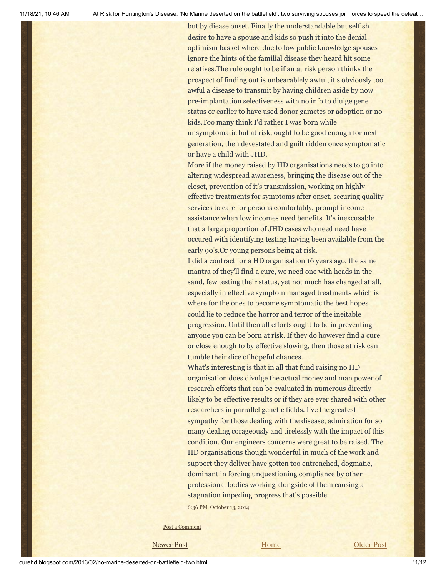but by diease onset. Finally the understandable but selfish desire to have a spouse and kids so push it into the denial optimism basket where due to low public knowledge spouses ignore the hints of the familial disease they heard hit some relatives.The rule ought to be if an at risk person thinks the prospect of finding out is unbearablely awful, it's obviously too awful a disease to transmit by having children aside by now pre-implantation selectiveness with no info to diulge gene status or earlier to have used donor gametes or adoption or no kids.Too many think I'd rather I was born while unsymptomatic but at risk, ought to be good enough for next generation, then devestated and guilt ridden once symptomatic or have a child with JHD.

More if the money raised by HD organisations needs to go into altering widespread awareness, bringing the disease out of the closet, prevention of it's transmission, working on highly effective treatments for symptoms after onset, securing quality services to care for persons comfortably, prompt income assistance when low incomes need benefits. It's inexcusable that a large proportion of JHD cases who need need have occured with identifying testing having been available from the early 90's.Or young persons being at risk.

I did a contract for a HD organisation 16 years ago, the same mantra of they'll find a cure, we need one with heads in the sand, few testing their status, yet not much has changed at all, especially in effective symptom managed treatments which is where for the ones to become symptomatic the best hopes could lie to reduce the horror and terror of the ineitable progression. Until then all efforts ought to be in preventing anyone you can be born at risk. If they do however find a cure or close enough to by effective slowing, then those at risk can tumble their dice of hopeful chances.

What's interesting is that in all that fund raising no HD organisation does divulge the actual money and man power of research efforts that can be evaluated in numerous directly likely to be effective results or if they are ever shared with other researchers in parrallel genetic fields. I've the greatest sympathy for those dealing with the disease, admiration for so many dealing corageously and tirelessly with the impact of this condition. Our engineers concerns were great to be raised. The HD organisations though wonderful in much of the work and support they deliver have gotten too entrenched, dogmatic, dominant in forcing unquestioning compliance by other professional bodies working alongside of them causing a stagnation impeding progress that's possible.

6:36 PM, [October](http://curehd.blogspot.com/2013/02/no-marine-deserted-on-battlefield-two.html?showComment=1413250595048#c3001122468705850690) 13, 2014

Post a [Comment](https://www.blogger.com/comment.g?blogID=10081281&postID=1631901423155555330&isPopup=true)

[Newer Post](http://curehd.blogspot.com/2013/02/pope-benedict-xvis-resignation-witness.html) **Newer Post [Older Post](http://curehd.blogspot.com/2013/01/junior-seau-super-sunday-and-our-most.html) Older Post** 

curehd.blogspot.com/2013/02/no-marine-deserted-on-battlefield-two.html 11/12